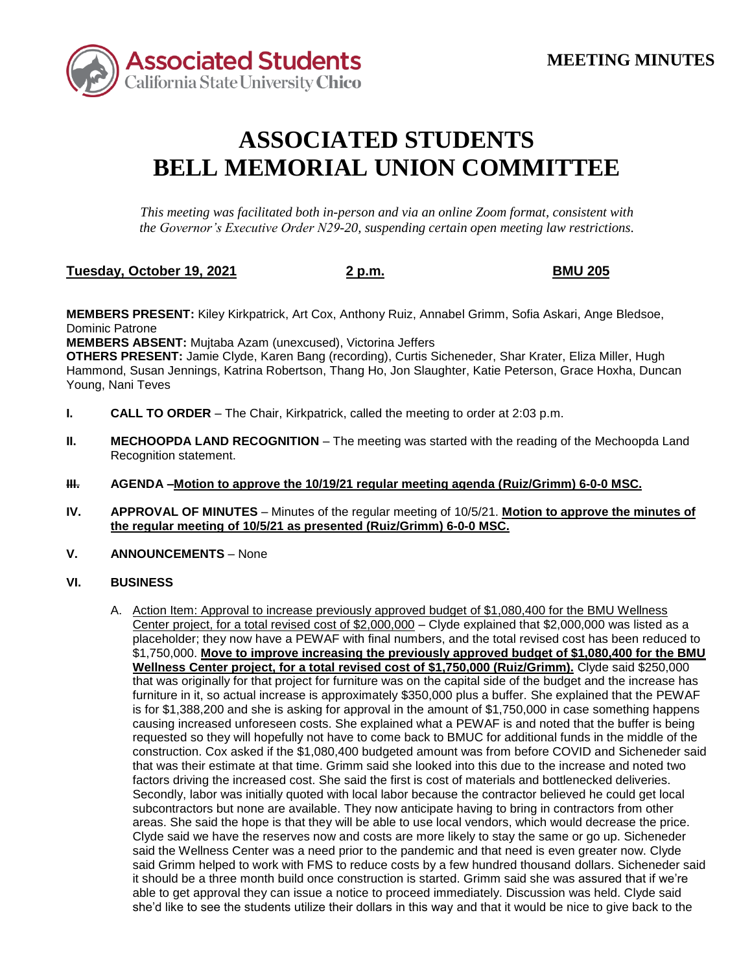

## **ASSOCIATED STUDENTS BELL MEMORIAL UNION COMMITTEE**

*This meeting was facilitated both in-person and via an online Zoom format, consistent with the Governor's Executive Order N29-20, suspending certain open meeting law restrictions.* 

## **Tuesday, October 19, 2021 2 p.m. BMU 205**

**MEMBERS PRESENT:** Kiley Kirkpatrick, Art Cox, Anthony Ruiz, Annabel Grimm, Sofia Askari, Ange Bledsoe, Dominic Patrone

**MEMBERS ABSENT:** Mujtaba Azam (unexcused), Victorina Jeffers

**OTHERS PRESENT:** Jamie Clyde, Karen Bang (recording), Curtis Sicheneder, Shar Krater, Eliza Miller, Hugh Hammond, Susan Jennings, Katrina Robertson, Thang Ho, Jon Slaughter, Katie Peterson, Grace Hoxha, Duncan Young, Nani Teves

- **I. CALL TO ORDER**  The Chair, Kirkpatrick, called the meeting to order at 2:03 p.m.
- **II. MECHOOPDA LAND RECOGNITION** The meeting was started with the reading of the Mechoopda Land Recognition statement.
- **III. AGENDA –Motion to approve the 10/19/21 regular meeting agenda (Ruiz/Grimm) 6-0-0 MSC.**
- **IV. APPROVAL OF MINUTES**  Minutes of the regular meeting of 10/5/21. **Motion to approve the minutes of the regular meeting of 10/5/21 as presented (Ruiz/Grimm) 6-0-0 MSC.**
- **V.** ANNOUNCEMENTS None

## **VI. BUSINESS**

 is for \$1,388,200 and she is asking for approval in the amount of \$1,750,000 in case something happens that was their estimate at that time. Grimm said she looked into this due to the increase and noted two factors driving the increased cost. She said the first is cost of materials and bottlenecked deliveries. Secondly, labor was initially quoted with local labor because the contractor believed he could get local subcontractors but none are available. They now anticipate having to bring in contractors from other said Grimm helped to work with FMS to reduce costs by a few hundred thousand dollars. Sicheneder said A. Action Item: Approval to increase previously approved budget of \$1,080,400 for the BMU Wellness Center project, for a total revised cost of \$2,000,000 – Clyde explained that \$2,000,000 was listed as a placeholder; they now have a PEWAF with final numbers, and the total revised cost has been reduced to \$1,750,000. **Move to improve increasing the previously approved budget of \$1,080,400 for the BMU Wellness Center project, for a total revised cost of \$1,750,000 (Ruiz/Grimm).** Clyde said \$250,000 that was originally for that project for furniture was on the capital side of the budget and the increase has furniture in it, so actual increase is approximately \$350,000 plus a buffer. She explained that the PEWAF causing increased unforeseen costs. She explained what a PEWAF is and noted that the buffer is being requested so they will hopefully not have to come back to BMUC for additional funds in the middle of the construction. Cox asked if the \$1,080,400 budgeted amount was from before COVID and Sicheneder said areas. She said the hope is that they will be able to use local vendors, which would decrease the price. Clyde said we have the reserves now and costs are more likely to stay the same or go up. Sicheneder said the Wellness Center was a need prior to the pandemic and that need is even greater now. Clyde it should be a three month build once construction is started. Grimm said she was assured that if we're able to get approval they can issue a notice to proceed immediately. Discussion was held. Clyde said she'd like to see the students utilize their dollars in this way and that it would be nice to give back to the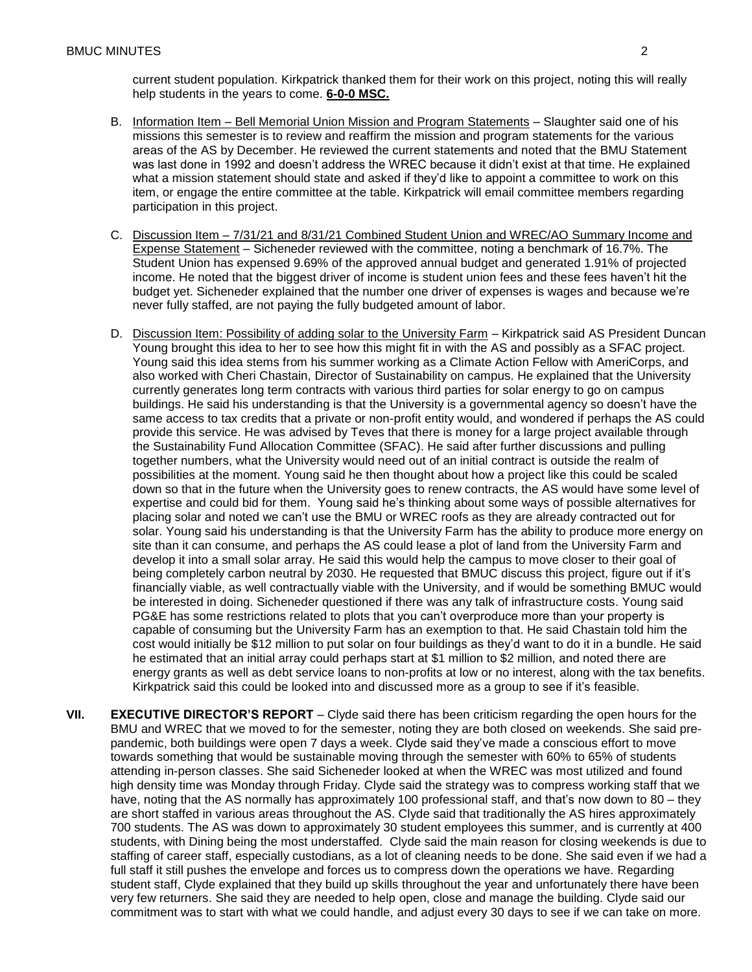current student population. Kirkpatrick thanked them for their work on this project, noting this will really help students in the years to come. **6-0-0 MSC.** 

- was last done in 1992 and doesn't address the WREC because it didn't exist at that time. He explained B. Information Item - Bell Memorial Union Mission and Program Statements - Slaughter said one of his missions this semester is to review and reaffirm the mission and program statements for the various areas of the AS by December. He reviewed the current statements and noted that the BMU Statement what a mission statement should state and asked if they'd like to appoint a committee to work on this item, or engage the entire committee at the table. Kirkpatrick will email committee members regarding participation in this project.
- income. He noted that the biggest driver of income is student union fees and these fees haven't hit the budget yet. Sicheneder explained that the number one driver of expenses is wages and because we're C. Discussion Item – 7/31/21 and 8/31/21 Combined Student Union and WREC/AO Summary Income and Expense Statement – Sicheneder reviewed with the committee, noting a benchmark of 16.7%. The Student Union has expensed 9.69% of the approved annual budget and generated 1.91% of projected never fully staffed, are not paying the fully budgeted amount of labor.
- D. Discussion Item: Possibility of adding solar to the University Farm Kirkpatrick said AS President Duncan placing solar and noted we can't use the BMU or WREC roofs as they are already contracted out for develop it into a small solar array. He said this would help the campus to move closer to their goal of being completely carbon neutral by 2030. He requested that BMUC discuss this project, figure out if it's financially viable, as well contractually viable with the University, and if would be something BMUC would be interested in doing. Sicheneder questioned if there was any talk of infrastructure costs. Young said PG&E has some restrictions related to plots that you can't overproduce more than your property is capable of consuming but the University Farm has an exemption to that. He said Chastain told him the he estimated that an initial array could perhaps start at \$1 million to \$2 million, and noted there are energy grants as well as debt service loans to non-profits at low or no interest, along with the tax benefits. Young brought this idea to her to see how this might fit in with the AS and possibly as a SFAC project. Young said this idea stems from his summer working as a Climate Action Fellow with AmeriCorps, and also worked with Cheri Chastain, Director of Sustainability on campus. He explained that the University currently generates long term contracts with various third parties for solar energy to go on campus buildings. He said his understanding is that the University is a governmental agency so doesn't have the same access to tax credits that a private or non-profit entity would, and wondered if perhaps the AS could provide this service. He was advised by Teves that there is money for a large project available through the Sustainability Fund Allocation Committee (SFAC). He said after further discussions and pulling together numbers, what the University would need out of an initial contract is outside the realm of possibilities at the moment. Young said he then thought about how a project like this could be scaled down so that in the future when the University goes to renew contracts, the AS would have some level of expertise and could bid for them. Young said he's thinking about some ways of possible alternatives for solar. Young said his understanding is that the University Farm has the ability to produce more energy on site than it can consume, and perhaps the AS could lease a plot of land from the University Farm and cost would initially be \$12 million to put solar on four buildings as they'd want to do it in a bundle. He said Kirkpatrick said this could be looked into and discussed more as a group to see if it's feasible.
- BMU and WREC that we moved to for the semester, noting they are both closed on weekends. She said pre- have, noting that the AS normally has approximately 100 professional staff, and that's now down to 80 – they students, with Dining being the most understaffed. Clyde said the main reason for closing weekends is due to commitment was to start with what we could handle, and adjust every 30 days to see if we can take on more. **VII. EXECUTIVE DIRECTOR'S REPORT** – Clyde said there has been criticism regarding the open hours for the pandemic, both buildings were open 7 days a week. Clyde said they've made a conscious effort to move towards something that would be sustainable moving through the semester with 60% to 65% of students attending in-person classes. She said Sicheneder looked at when the WREC was most utilized and found high density time was Monday through Friday. Clyde said the strategy was to compress working staff that we are short staffed in various areas throughout the AS. Clyde said that traditionally the AS hires approximately 700 students. The AS was down to approximately 30 student employees this summer, and is currently at 400 staffing of career staff, especially custodians, as a lot of cleaning needs to be done. She said even if we had a full staff it still pushes the envelope and forces us to compress down the operations we have. Regarding student staff, Clyde explained that they build up skills throughout the year and unfortunately there have been very few returners. She said they are needed to help open, close and manage the building. Clyde said our